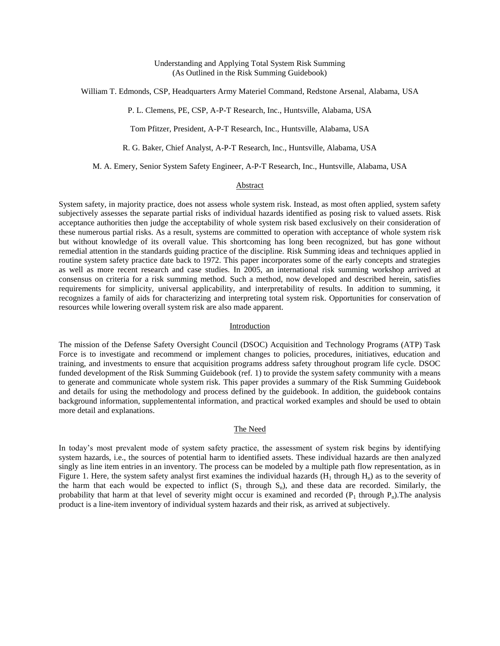William T. Edmonds, CSP, Headquarters Army Materiel Command, Redstone Arsenal, Alabama, USA

P. L. Clemens, PE, CSP, A-P-T Research, Inc., Huntsville, Alabama, USA

Tom Pfitzer, President, A-P-T Research, Inc., Huntsville, Alabama, USA

R. G. Baker, Chief Analyst, A-P-T Research, Inc., Huntsville, Alabama, USA

M. A. Emery, Senior System Safety Engineer, A-P-T Research, Inc., Huntsville, Alabama, USA

# Abstract

System safety, in majority practice, does not assess whole system risk. Instead, as most often applied, system safety subjectively assesses the separate partial risks of individual hazards identified as posing risk to valued assets. Risk acceptance authorities then judge the acceptability of whole system risk based exclusively on their consideration of these numerous partial risks. As a result, systems are committed to operation with acceptance of whole system risk but without knowledge of its overall value. This shortcoming has long been recognized, but has gone without remedial attention in the standards guiding practice of the discipline. Risk Summing ideas and techniques applied in routine system safety practice date back to 1972. This paper incorporates some of the early concepts and strategies as well as more recent research and case studies. In 2005, an international risk summing workshop arrived at consensus on criteria for a risk summing method. Such a method, now developed and described herein, satisfies requirements for simplicity, universal applicability, and interpretability of results. In addition to summing, it recognizes a family of aids for characterizing and interpreting total system risk. Opportunities for conservation of resources while lowering overall system risk are also made apparent.

## Introduction

The mission of the Defense Safety Oversight Council (DSOC) Acquisition and Technology Programs (ATP) Task Force is to investigate and recommend or implement changes to policies, procedures, initiatives, education and training, and investments to ensure that acquisition programs address safety throughout program life cycle. DSOC funded development of the Risk Summing Guidebook (ref. [1\)](#page-7-0) to provide the system safety community with a means to generate and communicate whole system risk. This paper provides a summary of the Risk Summing Guidebook and details for using the methodology and process defined by the guidebook. In addition, the guidebook contains background information, supplementental information, and practical worked examples and should be used to obtain more detail and explanations.

#### The Need

In today's most prevalent mode of system safety practice, the assessment of system risk begins by identifying system hazards, i.e., the sources of potential harm to identified assets. These individual hazards are then analyzed singly as line item entries in an inventory. The process can be modeled by a multiple path flow representation, as in [Figure 1.](#page-1-0) Here, the system safety analyst first examines the individual hazards  $(H_1$  through  $H_n$ ) as to the severity of the harm that each would be expected to inflict  $(S_1$  through  $S_n$ ), and these data are recorded. Similarly, the probability that harm at that level of severity might occur is examined and recorded  $(P_1)$  through  $P_n$ ). The analysis product is a line-item inventory of individual system hazards and their risk, as arrived at subjectively.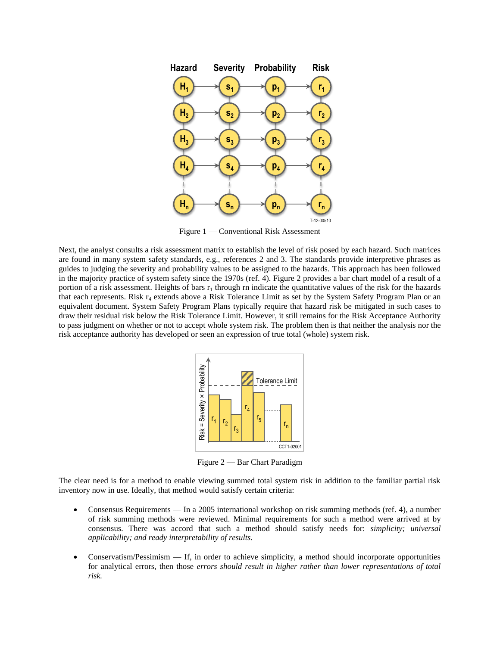

Figure 1 — Conventional Risk Assessment

<span id="page-1-0"></span>Next, the analyst consults a risk assessment matrix to establish the level of risk posed by each hazard. Such matrices are found in many system safety standards, e.g., references [2](#page-7-1) and [3.](#page-7-2) The standards provide interpretive phrases as guides to judging the severity and probability values to be assigned to the hazards. This approach has been followed in the majority practice of system safety since the 1970s (ref. [4\)](#page-7-3). [Figure 2](#page-1-1) provides a bar chart model of a result of a portion of a risk assessment. Heights of bars  $r_1$  through rn indicate the quantitative values of the risk for the hazards that each represents. Risk  $r_4$  extends above a Risk Tolerance Limit as set by the System Safety Program Plan or an equivalent document. System Safety Program Plans typically require that hazard risk be mitigated in such cases to draw their residual risk below the Risk Tolerance Limit. However, it still remains for the Risk Acceptance Authority to pass judgment on whether or not to accept whole system risk. The problem then is that neither the analysis nor the risk acceptance authority has developed or seen an expression of true total (whole) system risk.



Figure 2 — Bar Chart Paradigm

<span id="page-1-1"></span>The clear need is for a method to enable viewing summed total system risk in addition to the familiar partial risk inventory now in use. Ideally, that method would satisfy certain criteria:

- Consensus Requirements In a 2005 international workshop on risk summing methods (ref. [4\)](#page-7-3), a number of risk summing methods were reviewed. Minimal requirements for such a method were arrived at by consensus. There was accord that such a method should satisfy needs for: *simplicity; universal applicability; and ready interpretability of results.*
- Conservatism/Pessimism If, in order to achieve simplicity, a method should incorporate opportunities for analytical errors, then those *errors should result in higher rather than lower representations of total risk.*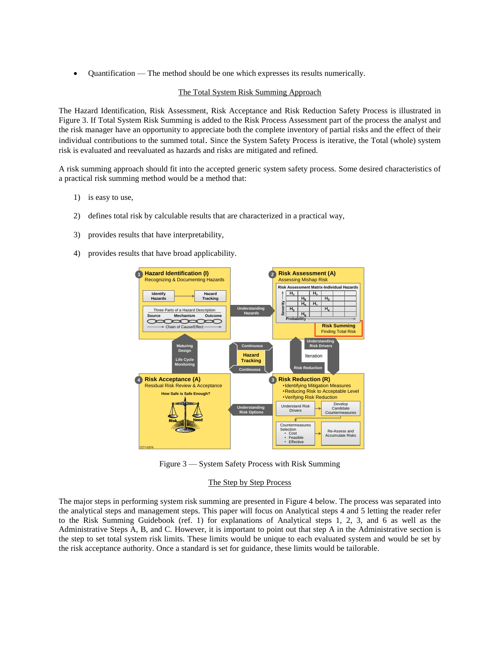$\bullet$  Ouantification — The method should be one which expresses its results numerically.

# The Total System Risk Summing Approach

The Hazard Identification, Risk Assessment, Risk Acceptance and Risk Reduction Safety Process is illustrated in [Figure 3.](#page-2-0) If Total System Risk Summing is added to the Risk Process Assessment part of the process the analyst and the risk manager have an opportunity to appreciate both the complete inventory of partial risks and the effect of their individual contributions to the summed total. Since the System Safety Process is iterative, the Total (whole) system risk is evaluated and reevaluated as hazards and risks are mitigated and refined.

A risk summing approach should fit into the accepted generic system safety process. Some desired characteristics of a practical risk summing method would be a method that:

- 1) is easy to use,
- 2) defines total risk by calculable results that are characterized in a practical way,
- 3) provides results that have interpretability,
- 4) provides results that have broad applicability.



Figure 3 — System Safety Process with Risk Summing

## The Step by Step Process

<span id="page-2-0"></span>The major steps in performing system risk summing are presented in [Figure 4](#page-3-0) below. The process was separated into the analytical steps and management steps. This paper will focus on Analytical steps 4 and 5 letting the reader refer to the Risk Summing Guidebook (ref. [1\)](#page-7-0) for explanations of Analytical steps 1, 2, 3, and 6 as well as the Administrative Steps A, B, and C. However, it is important to point out that step A in the Administrative section is the step to set total system risk limits. These limits would be unique to each evaluated system and would be set by the risk acceptance authority. Once a standard is set for guidance, these limits would be tailorable.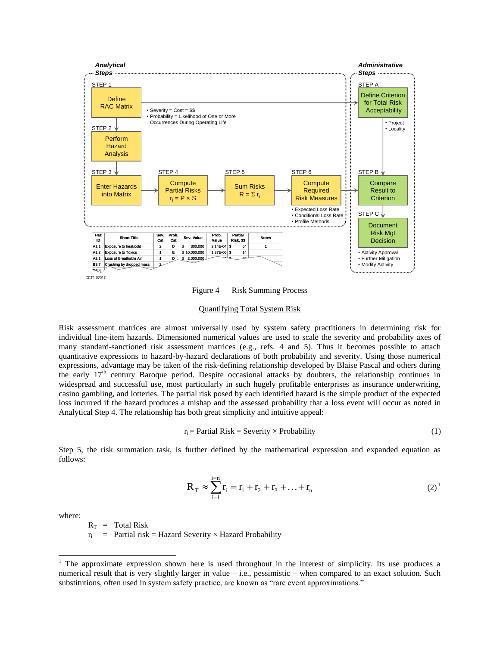

Figure 4 — Risk Summing Process

### Quantifying Total System Risk

<span id="page-3-0"></span>Risk assessment matrices are almost universally used by system safety practitioners in determining risk for individual line-item hazards. Dimensioned numerical values are used to scale the severity and probability axes of many standard-sanctioned risk assessment matrices (e.g., refs. [4](#page-7-3) and [5\)](#page-7-4). Thus it becomes possible to attach quantitative expressions to hazard-by-hazard declarations of both probability and severity. Using those numerical expressions, advantage may be taken of the risk-defining relationship developed by Blaise Pascal and others during the early  $17<sup>th</sup>$  century Baroque period. Despite occasional attacks by doubters, the relationship continues in widespread and successful use, most particularly in such hugely profitable enterprises as insurance underwriting, casino gambling, and lotteries. The partial risk posed by each identified hazard is the simple product of the expected loss incurred if the hazard produces a mishap and the assessed probability that a loss event will occur as noted in Analytical Step 4. The relationship has both great simplicity and intuitive appeal:

$$
r_i = Partial Risk = Severity \times Probability
$$
 (1)

Step 5, the risk summation task, is further defined by the mathematical expression and expanded equation as follows:

$$
R_{T} \approx \sum_{i=1}^{i=n} r_{i} = r_{1} + r_{2} + r_{3} + \dots + r_{n}
$$
 (2)<sup>1</sup>

where:

l

 $R_T$  = Total Risk

 $r_i$  = Partial risk = Hazard Severity × Hazard Probability

 $1$  The approximate expression shown here is used throughout in the interest of simplicity. Its use produces a numerical result that is very slightly larger in value – i.e., pessimistic – when compared to an exact solution. Such substitutions, often used in system safety practice, are known as "rare event approximations."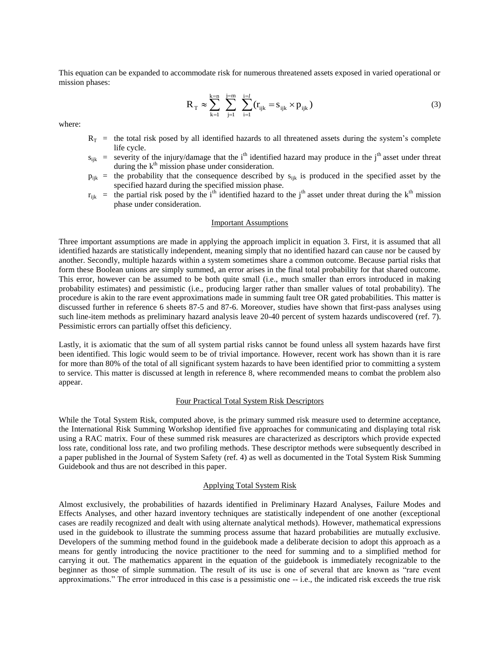This equation can be expanded to accommodate risk for numerous threatened assets exposed in varied operational or mission phases:

<span id="page-4-0"></span>
$$
R_{T} \approx \sum_{k=1}^{k=n} \sum_{j=1}^{j=m} \sum_{i=1}^{i=l} (r_{ijk} = s_{ijk} \times p_{ijk})
$$
 (3)

where:

- $R_T$  = the total risk posed by all identified hazards to all threatened assets during the system's complete life cycle.
- $s_{ijk}$  = severity of the injury/damage that the i<sup>th</sup> identified hazard may produce in the j<sup>th</sup> asset under threat during the  $k<sup>th</sup>$  mission phase under consideration.
- $p_{ijk}$  = the probability that the consequence described by  $s_{ijk}$  is produced in the specified asset by the specified hazard during the specified mission phase.
- $r_{ijk}$  = the partial risk posed by the i<sup>th</sup> identified hazard to the j<sup>th</sup> asset under threat during the k<sup>th</sup> mission phase under consideration.

#### Important Assumptions

Three important assumptions are made in applying the approach implicit in equation [3.](#page-4-0) First, it is assumed that all identified hazards are statistically independent, meaning simply that no identified hazard can cause nor be caused by another. Secondly, multiple hazards within a system sometimes share a common outcome. Because partial risks that form these Boolean unions are simply summed, an error arises in the final total probability for that shared outcome. This error, however can be assumed to be both quite small (i.e., much smaller than errors introduced in making probability estimates) and pessimistic (i.e., producing larger rather than smaller values of total probability). The procedure is akin to the rare event approximations made in summing fault tree OR gated probabilities. This matter is discussed further in reference [6](#page-7-5) sheets 87-5 and 87-6. Moreover, studies have shown that first-pass analyses using such line-item methods as preliminary hazard analysis leave 20-40 percent of system hazards undiscovered (ref. [7\)](#page-7-6). Pessimistic errors can partially offset this deficiency.

Lastly, it is axiomatic that the sum of all system partial risks cannot be found unless all system hazards have first been identified. This logic would seem to be of trivial importance. However, recent work has shown than it is rare for more than 80% of the total of all significant system hazards to have been identified prior to committing a system to service. This matter is discussed at length in reference [8,](#page-7-7) where recommended means to combat the problem also appear.

#### Four Practical Total System Risk Descriptors

While the Total System Risk, computed above, is the primary summed risk measure used to determine acceptance, the International Risk Summing Workshop identified five approaches for communicating and displaying total risk using a RAC matrix. Four of these summed risk measures are characterized as descriptors which provide expected loss rate, conditional loss rate, and two profiling methods. These descriptor methods were subsequently described in a paper published in the Journal of System Safety (ref. [4\)](#page-7-3) as well as documented in the Total System Risk Summing Guidebook and thus are not described in this paper.

### Applying Total System Risk

Almost exclusively, the probabilities of hazards identified in Preliminary Hazard Analyses, Failure Modes and Effects Analyses, and other hazard inventory techniques are statistically independent of one another (exceptional cases are readily recognized and dealt with using alternate analytical methods). However, mathematical expressions used in the guidebook to illustrate the summing process assume that hazard probabilities are mutually exclusive. Developers of the summing method found in the guidebook made a deliberate decision to adopt this approach as a means for gently introducing the novice practitioner to the need for summing and to a simplified method for carrying it out. The mathematics apparent in the equation of the guidebook is immediately recognizable to the beginner as those of simple summation. The result of its use is one of several that are known as "rare event approximations." The error introduced in this case is a pessimistic one -- i.e., the indicated risk exceeds the true risk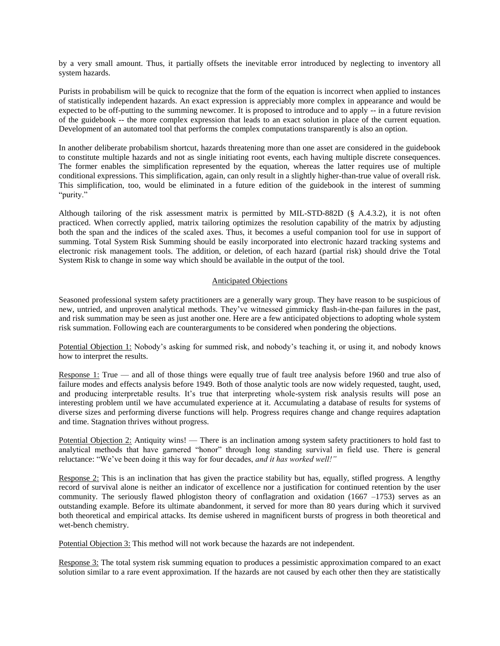by a very small amount. Thus, it partially offsets the inevitable error introduced by neglecting to inventory all system hazards.

Purists in probabilism will be quick to recognize that the form of the equation is incorrect when applied to instances of statistically independent hazards. An exact expression is appreciably more complex in appearance and would be expected to be off-putting to the summing newcomer. It is proposed to introduce and to apply -- in a future revision of the guidebook -- the more complex expression that leads to an exact solution in place of the current equation. Development of an automated tool that performs the complex computations transparently is also an option.

In another deliberate probabilism shortcut, hazards threatening more than one asset are considered in the guidebook to constitute multiple hazards and not as single initiating root events, each having multiple discrete consequences. The former enables the simplification represented by the equation, whereas the latter requires use of multiple conditional expressions. This simplification, again, can only result in a slightly higher-than-true value of overall risk. This simplification, too, would be eliminated in a future edition of the guidebook in the interest of summing "purity."

Although tailoring of the risk assessment matrix is permitted by MIL-STD-882D (§ A.4.3.2), it is not often practiced. When correctly applied, matrix tailoring optimizes the resolution capability of the matrix by adjusting both the span and the indices of the scaled axes. Thus, it becomes a useful companion tool for use in support of summing. Total System Risk Summing should be easily incorporated into electronic hazard tracking systems and electronic risk management tools. The addition, or deletion, of each hazard (partial risk) should drive the Total System Risk to change in some way which should be available in the output of the tool.

## Anticipated Objections

Seasoned professional system safety practitioners are a generally wary group. They have reason to be suspicious of new, untried, and unproven analytical methods. They've witnessed gimmicky flash-in-the-pan failures in the past, and risk summation may be seen as just another one. Here are a few anticipated objections to adopting whole system risk summation. Following each are counterarguments to be considered when pondering the objections.

Potential Objection 1: Nobody's asking for summed risk, and nobody's teaching it, or using it, and nobody knows how to interpret the results.

Response 1: True — and all of those things were equally true of fault tree analysis before 1960 and true also of failure modes and effects analysis before 1949. Both of those analytic tools are now widely requested, taught, used, and producing interpretable results. It's true that interpreting whole-system risk analysis results will pose an interesting problem until we have accumulated experience at it. Accumulating a database of results for systems of diverse sizes and performing diverse functions will help. Progress requires change and change requires adaptation and time. Stagnation thrives without progress.

Potential Objection 2: Antiquity wins! — There is an inclination among system safety practitioners to hold fast to analytical methods that have garnered "honor" through long standing survival in field use. There is general reluctance: "We've been doing it this way for four decades, *and it has worked well!"*

Response 2: This is an inclination that has given the practice stability but has, equally, stifled progress. A lengthy record of survival alone is neither an indicator of excellence nor a justification for continued retention by the user community. The seriously flawed phlogiston theory of conflagration and oxidation (1667 –1753) serves as an outstanding example. Before its ultimate abandonment, it served for more than 80 years during which it survived both theoretical and empirical attacks. Its demise ushered in magnificent bursts of progress in both theoretical and wet-bench chemistry.

Potential Objection 3: This method will not work because the hazards are not independent.

Response 3: The total system risk summing equation to produces a pessimistic approximation compared to an exact solution similar to a rare event approximation. If the hazards are not caused by each other then they are statistically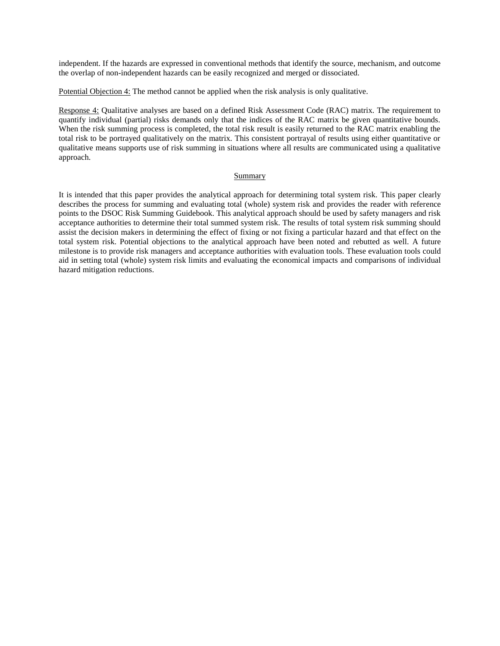independent. If the hazards are expressed in conventional methods that identify the source, mechanism, and outcome the overlap of non-independent hazards can be easily recognized and merged or dissociated.

Potential Objection 4: The method cannot be applied when the risk analysis is only qualitative.

Response 4: Qualitative analyses are based on a defined Risk Assessment Code (RAC) matrix. The requirement to quantify individual (partial) risks demands only that the indices of the RAC matrix be given quantitative bounds. When the risk summing process is completed, the total risk result is easily returned to the RAC matrix enabling the total risk to be portrayed qualitatively on the matrix. This consistent portrayal of results using either quantitative or qualitative means supports use of risk summing in situations where all results are communicated using a qualitative approach.

### Summary

It is intended that this paper provides the analytical approach for determining total system risk. This paper clearly describes the process for summing and evaluating total (whole) system risk and provides the reader with reference points to the DSOC Risk Summing Guidebook. This analytical approach should be used by safety managers and risk acceptance authorities to determine their total summed system risk. The results of total system risk summing should assist the decision makers in determining the effect of fixing or not fixing a particular hazard and that effect on the total system risk. Potential objections to the analytical approach have been noted and rebutted as well. A future milestone is to provide risk managers and acceptance authorities with evaluation tools. These evaluation tools could aid in setting total (whole) system risk limits and evaluating the economical impacts and comparisons of individual hazard mitigation reductions.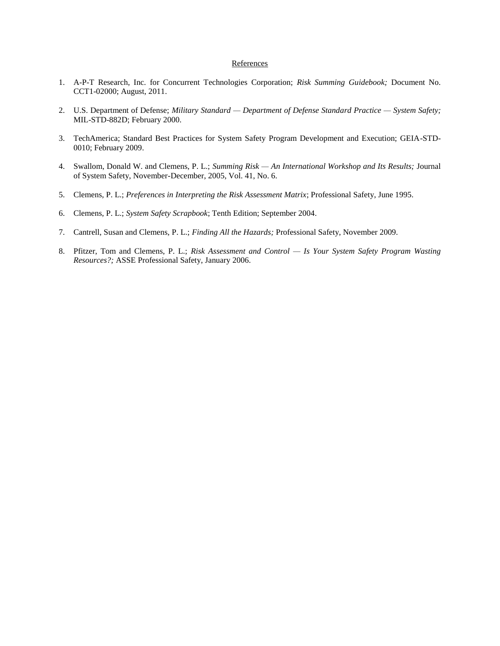## **References**

- <span id="page-7-0"></span>1. A-P-T Research, Inc. for Concurrent Technologies Corporation; *Risk Summing Guidebook;* Document No. CCT1-02000; August, 2011.
- <span id="page-7-1"></span>2. U.S. Department of Defense; *Military Standard — Department of Defense Standard Practice — System Safety;*  MIL-STD-882D; February 2000.
- <span id="page-7-2"></span>3. TechAmerica; Standard Best Practices for System Safety Program Development and Execution; GEIA-STD-0010; February 2009.
- <span id="page-7-3"></span>4. Swallom, Donald W. and Clemens, P. L.; *Summing Risk — An International Workshop and Its Results;* Journal of System Safety, November-December, 2005, Vol. 41, No. 6.
- <span id="page-7-4"></span>5. Clemens, P. L.; *Preferences in Interpreting the Risk Assessment Matrix*; Professional Safety, June 1995.
- <span id="page-7-5"></span>6. Clemens, P. L.; *System Safety Scrapbook*; Tenth Edition; September 2004.
- <span id="page-7-6"></span>7. Cantrell, Susan and Clemens, P. L.; *Finding All the Hazards;* Professional Safety, November 2009.
- <span id="page-7-7"></span>8. Pfitzer, Tom and Clemens, P. L.; *Risk Assessment and Control — Is Your System Safety Program Wasting Resources?;* ASSE Professional Safety, January 2006.